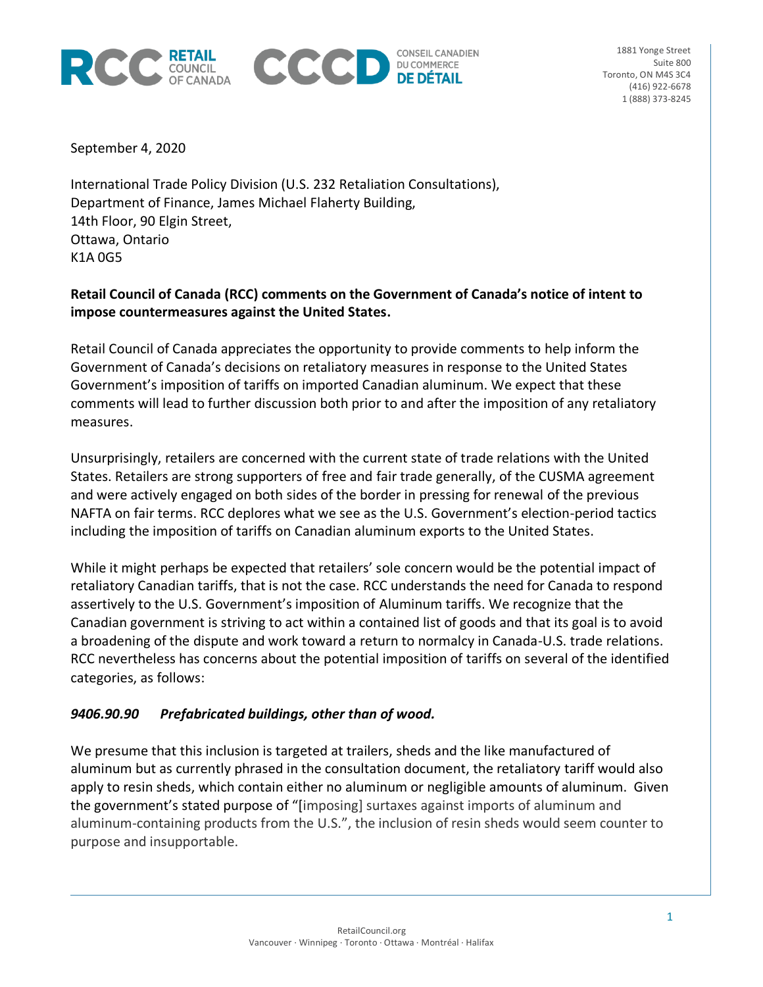



September 4, 2020

International Trade Policy Division (U.S. 232 Retaliation Consultations), Department of Finance, James Michael Flaherty Building, 14th Floor, 90 Elgin Street, Ottawa, Ontario K1A 0G5

# **Retail Council of Canada (RCC) comments on the Government of Canada's notice of intent to impose countermeasures against the United States.**

Retail Council of Canada appreciates the opportunity to provide comments to help inform the Government of Canada's decisions on retaliatory measures in response to the United States Government's imposition of tariffs on imported Canadian aluminum. We expect that these comments will lead to further discussion both prior to and after the imposition of any retaliatory measures.

Unsurprisingly, retailers are concerned with the current state of trade relations with the United States. Retailers are strong supporters of free and fair trade generally, of the CUSMA agreement and were actively engaged on both sides of the border in pressing for renewal of the previous NAFTA on fair terms. RCC deplores what we see as the U.S. Government's election-period tactics including the imposition of tariffs on Canadian aluminum exports to the United States.

While it might perhaps be expected that retailers' sole concern would be the potential impact of retaliatory Canadian tariffs, that is not the case. RCC understands the need for Canada to respond assertively to the U.S. Government's imposition of Aluminum tariffs. We recognize that the Canadian government is striving to act within a contained list of goods and that its goal is to avoid a broadening of the dispute and work toward a return to normalcy in Canada-U.S. trade relations. RCC nevertheless has concerns about the potential imposition of tariffs on several of the identified categories, as follows:

# *9406.90.90 Prefabricated buildings, other than of wood.*

We presume that this inclusion is targeted at trailers, sheds and the like manufactured of aluminum but as currently phrased in the consultation document, the retaliatory tariff would also apply to resin sheds, which contain either no aluminum or negligible amounts of aluminum. Given the government's stated purpose of "[imposing] surtaxes against imports of aluminum and aluminum-containing products from the U.S.", the inclusion of resin sheds would seem counter to purpose and insupportable.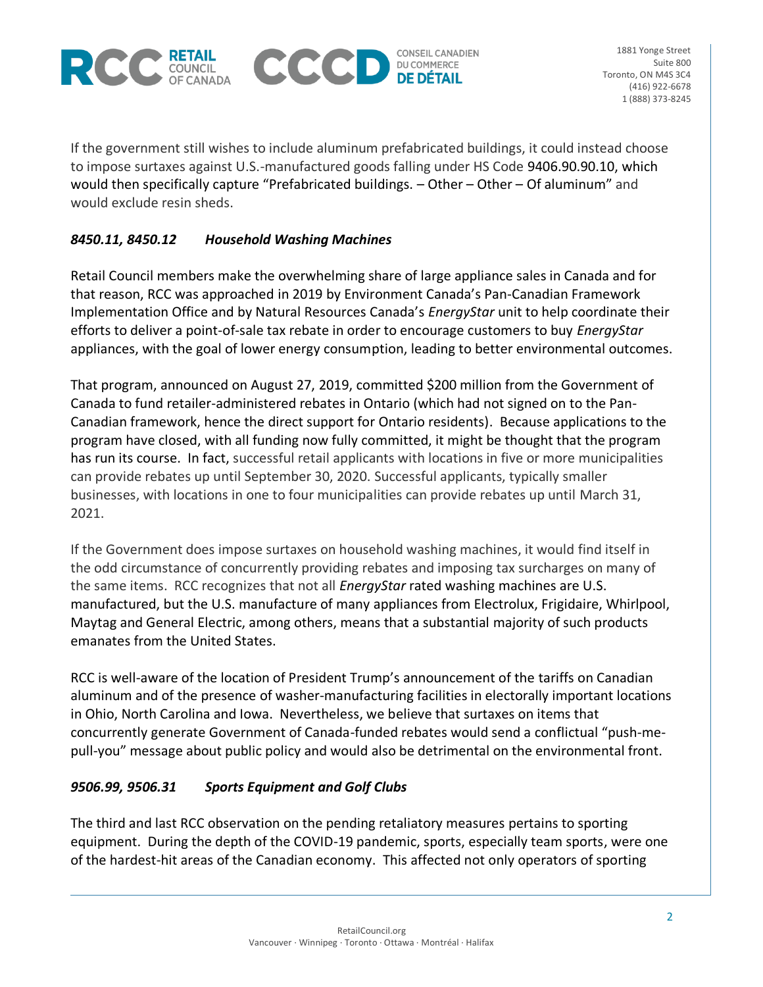



If the government still wishes to include aluminum prefabricated buildings, it could instead choose to impose surtaxes against U.S.-manufactured goods falling under HS Code 9406.90.90.10, which would then specifically capture "Prefabricated buildings. – Other – Other – Of aluminum" and would exclude resin sheds.

# *8450.11, 8450.12 Household Washing Machines*

Retail Council members make the overwhelming share of large appliance sales in Canada and for that reason, RCC was approached in 2019 by Environment Canada's Pan-Canadian Framework Implementation Office and by Natural Resources Canada's *EnergyStar* unit to help coordinate their efforts to deliver a point-of-sale tax rebate in order to encourage customers to buy *EnergyStar*  appliances, with the goal of lower energy consumption, leading to better environmental outcomes.

That program, announced on August 27, 2019, committed \$200 million from the Government of Canada to fund retailer-administered rebates in Ontario (which had not signed on to the Pan-Canadian framework, hence the direct support for Ontario residents). Because applications to the program have closed, with all funding now fully committed, it might be thought that the program has run its course. In fact, successful retail applicants with locations in five or more municipalities can provide rebates up until September 30, 2020. Successful applicants, typically smaller businesses, with locations in one to four municipalities can provide rebates up until March 31, 2021.

If the Government does impose surtaxes on household washing machines, it would find itself in the odd circumstance of concurrently providing rebates and imposing tax surcharges on many of the same items. RCC recognizes that not all *EnergyStar* rated washing machines are U.S. manufactured, but the U.S. manufacture of many appliances from Electrolux, Frigidaire, Whirlpool, Maytag and General Electric, among others, means that a substantial majority of such products emanates from the United States.

RCC is well-aware of the location of President Trump's announcement of the tariffs on Canadian aluminum and of the presence of washer-manufacturing facilities in electorally important locations in Ohio, North Carolina and Iowa. Nevertheless, we believe that surtaxes on items that concurrently generate Government of Canada-funded rebates would send a conflictual "push-mepull-you" message about public policy and would also be detrimental on the environmental front.

# *9506.99, 9506.31 Sports Equipment and Golf Clubs*

The third and last RCC observation on the pending retaliatory measures pertains to sporting equipment. During the depth of the COVID-19 pandemic, sports, especially team sports, were one of the hardest-hit areas of the Canadian economy. This affected not only operators of sporting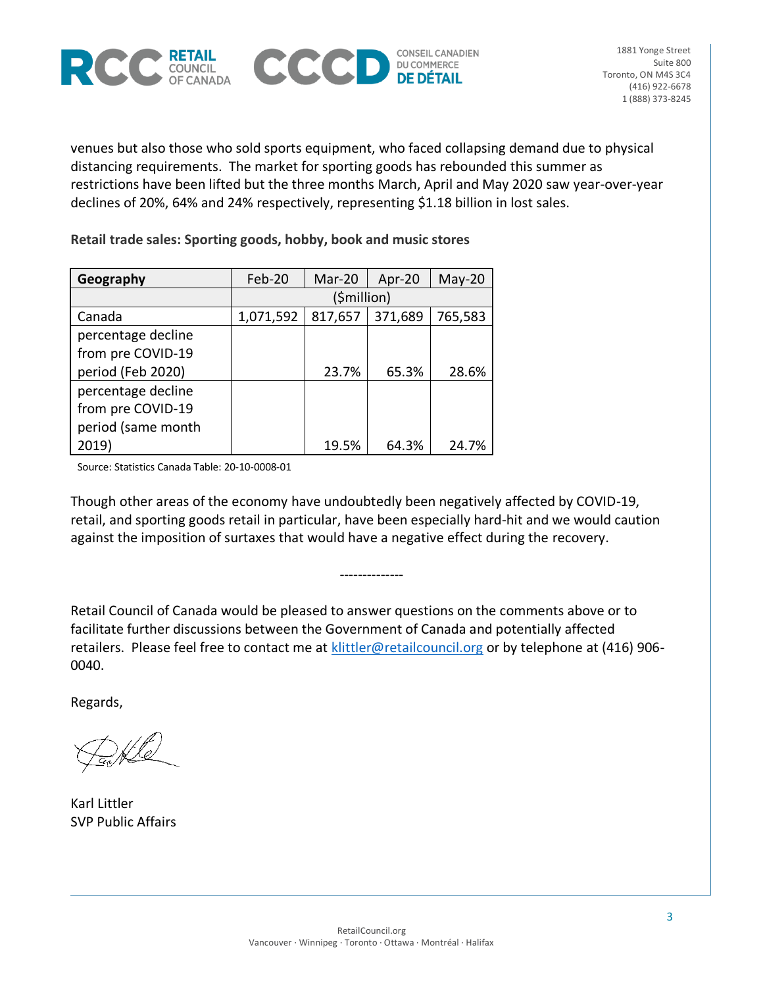



venues but also those who sold sports equipment, who faced collapsing demand due to physical distancing requirements. The market for sporting goods has rebounded this summer as restrictions have been lifted but the three months March, April and May 2020 saw year-over-year declines of 20%, 64% and 24% respectively, representing \$1.18 billion in lost sales.

**Retail trade sales: Sporting goods, hobby, book and music stores**

| Geography          | Feb-20      | Mar-20  | Apr-20  | $May-20$ |
|--------------------|-------------|---------|---------|----------|
|                    | (\$million) |         |         |          |
| Canada             | 1,071,592   | 817,657 | 371,689 | 765,583  |
| percentage decline |             |         |         |          |
| from pre COVID-19  |             |         |         |          |
| period (Feb 2020)  |             | 23.7%   | 65.3%   | 28.6%    |
| percentage decline |             |         |         |          |
| from pre COVID-19  |             |         |         |          |
| period (same month |             |         |         |          |
| 2019)              |             | 19.5%   | 64.3%   | 24.7%    |

Source: Statistics Canada Table: 20-10-0008-01

Though other areas of the economy have undoubtedly been negatively affected by COVID-19, retail, and sporting goods retail in particular, have been especially hard-hit and we would caution against the imposition of surtaxes that would have a negative effect during the recovery.

--------------

Retail Council of Canada would be pleased to answer questions on the comments above or to facilitate further discussions between the Government of Canada and potentially affected retailers. Please feel free to contact me at [klittler@retailcouncil.org](mailto:klittler@retailcouncil.org) or by telephone at (416) 906-0040.

Regards,

Karl Littler SVP Public Affairs